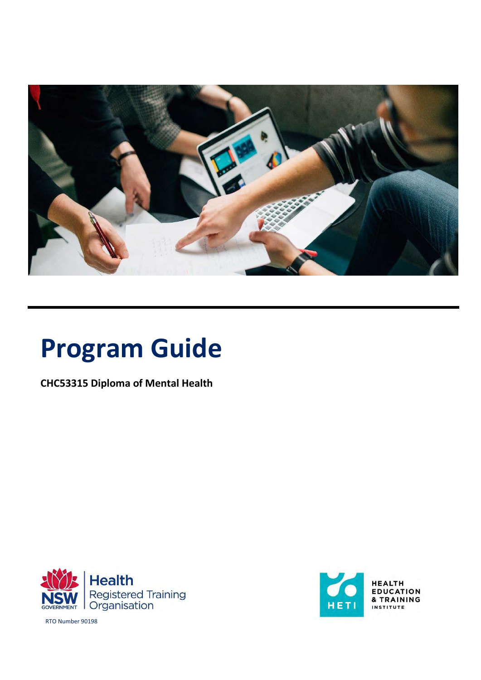

# **Program Guide**

**CHC53315 Diploma of Mental Health**





RTO Number 90198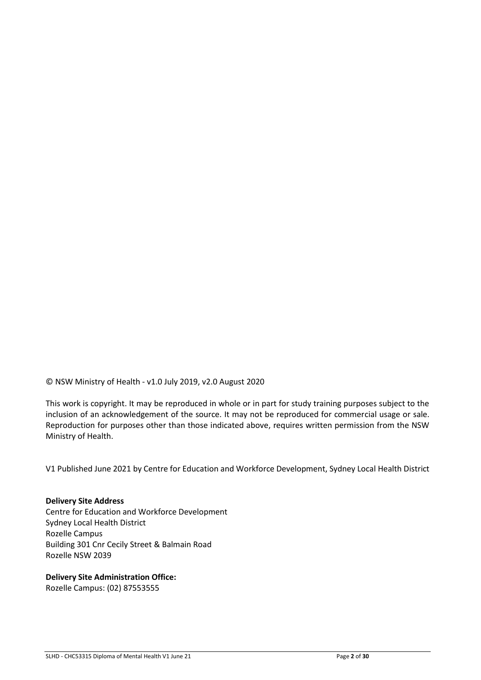© NSW Ministry of Health - v1.0 July 2019, v2.0 August 2020

This work is copyright. It may be reproduced in whole or in part for study training purposes subject to the inclusion of an acknowledgement of the source. It may not be reproduced for commercial usage or sale. Reproduction for purposes other than those indicated above, requires written permission from the NSW Ministry of Health.

V1 Published June 2021 by Centre for Education and Workforce Development, Sydney Local Health District

#### **Delivery Site Address**

Centre for Education and Workforce Development Sydney Local Health District Rozelle Campus Building 301 Cnr Cecily Street & Balmain Road Rozelle NSW 2039

#### **Delivery Site Administration Office:**

Rozelle Campus: (02) 87553555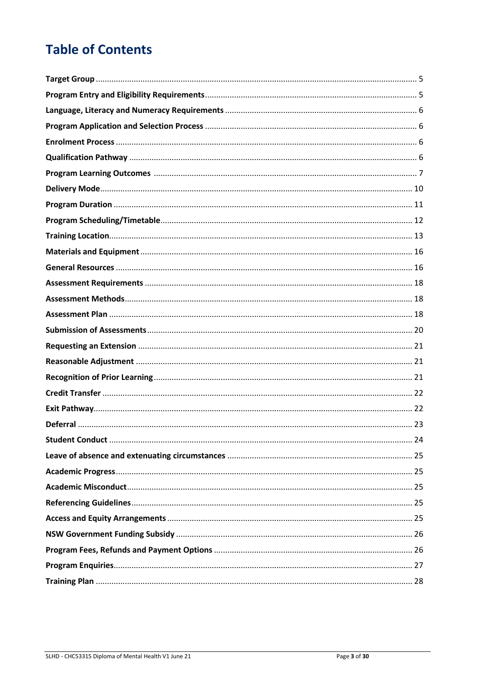# **Table of Contents**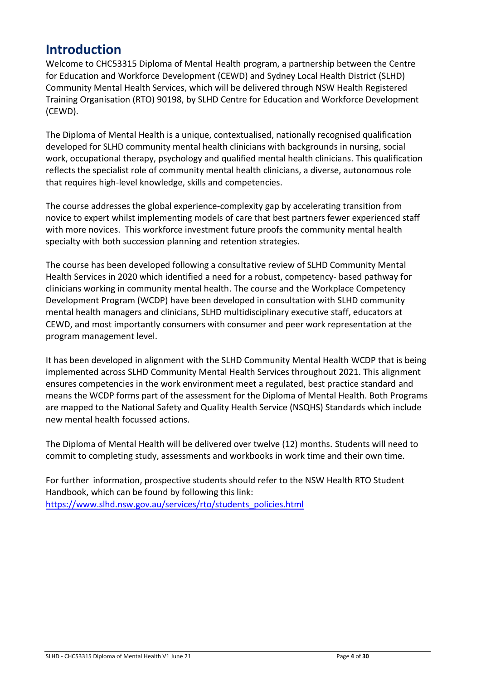#### **Introduction**

Welcome to CHC53315 Diploma of Mental Health program, a partnership between the Centre for Education and Workforce Development (CEWD) and Sydney Local Health District (SLHD) Community Mental Health Services, which will be delivered through NSW Health Registered Training Organisation (RTO) 90198, by SLHD Centre for Education and Workforce Development (CEWD).

The Diploma of Mental Health is a unique, contextualised, nationally recognised qualification developed for SLHD community mental health clinicians with backgrounds in nursing, social work, occupational therapy, psychology and qualified mental health clinicians. This qualification reflects the specialist role of community mental health clinicians, a diverse, autonomous role that requires high-level knowledge, skills and competencies.

The course addresses the global experience-complexity gap by accelerating transition from novice to expert whilst implementing models of care that best partners fewer experienced staff with more novices. This workforce investment future proofs the community mental health specialty with both succession planning and retention strategies.

The course has been developed following a consultative review of SLHD Community Mental Health Services in 2020 which identified a need for a robust, competency- based pathway for clinicians working in community mental health. The course and the Workplace Competency Development Program (WCDP) have been developed in consultation with SLHD community mental health managers and clinicians, SLHD multidisciplinary executive staff, educators at CEWD, and most importantly consumers with consumer and peer work representation at the program management level.

It has been developed in alignment with the SLHD Community Mental Health WCDP that is being implemented across SLHD Community Mental Health Services throughout 2021. This alignment ensures competencies in the work environment meet a regulated, best practice standard and means the WCDP forms part of the assessment for the Diploma of Mental Health. Both Programs are mapped to the National Safety and Quality Health Service (NSQHS) Standards which include new mental health focussed actions.

The Diploma of Mental Health will be delivered over twelve (12) months. Students will need to commit to completing study, assessments and workbooks in work time and their own time.

For further information, prospective students should refer to the NSW Health RTO Student Handbook, which can be found by following this link: [https://www.slhd.nsw.gov.au/services/rto/students\\_policies.html](https://www.slhd.nsw.gov.au/services/rto/students_policies.html)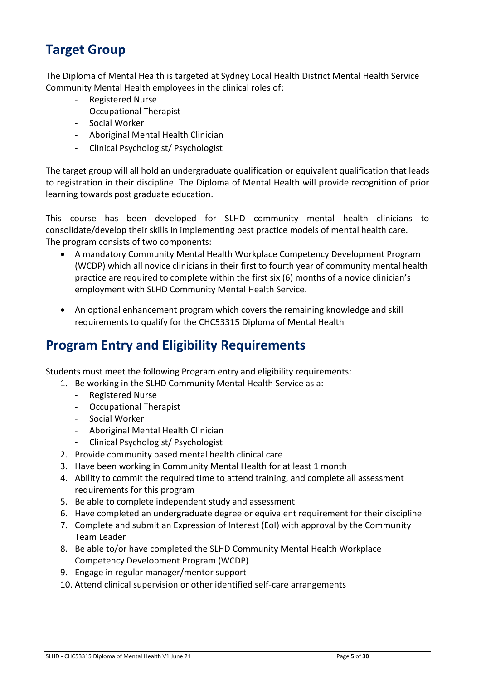### <span id="page-4-0"></span>**Target Group**

The Diploma of Mental Health is targeted at Sydney Local Health District Mental Health Service Community Mental Health employees in the clinical roles of:

- Registered Nurse
- Occupational Therapist
- Social Worker
- Aboriginal Mental Health Clinician
- Clinical Psychologist/ Psychologist

The target group will all hold an undergraduate qualification or equivalent qualification that leads to registration in their discipline. The Diploma of Mental Health will provide recognition of prior learning towards post graduate education.

This course has been developed for SLHD community mental health clinicians to consolidate/develop their skills in implementing best practice models of mental health care. The program consists of two components:

- A mandatory Community Mental Health Workplace Competency Development Program (WCDP) which all novice clinicians in their first to fourth year of community mental health practice are required to complete within the first six (6) months of a novice clinician's employment with SLHD Community Mental Health Service.
- An optional enhancement program which covers the remaining knowledge and skill requirements to qualify for the CHC53315 Diploma of Mental Health

### <span id="page-4-1"></span>**Program Entry and Eligibility Requirements**

Students must meet the following Program entry and eligibility requirements:

- 1. Be working in the SLHD Community Mental Health Service as a:
	- Registered Nurse
	- Occupational Therapist
	- Social Worker
	- Aboriginal Mental Health Clinician
	- Clinical Psychologist/ Psychologist
- 2. Provide community based mental health clinical care
- 3. Have been working in Community Mental Health for at least 1 month
- 4. Ability to commit the required time to attend training, and complete all assessment requirements for this program
- 5. Be able to complete independent study and assessment
- 6. Have completed an undergraduate degree or equivalent requirement for their discipline
- 7. Complete and submit an Expression of Interest (EoI) with approval by the Community Team Leader
- 8. Be able to/or have completed the SLHD Community Mental Health Workplace Competency Development Program (WCDP)
- 9. Engage in regular manager/mentor support
- 10. Attend clinical supervision or other identified self-care arrangements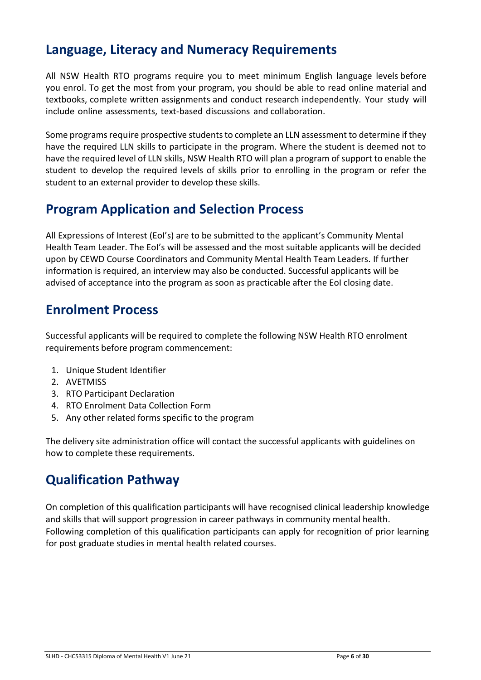#### <span id="page-5-0"></span>**Language, Literacy and Numeracy Requirements**

All NSW Health RTO programs require you to meet minimum English language levels before you enrol. To get the most from your program, you should be able to read online material and textbooks, complete written assignments and conduct research independently. Your study will include online assessments, text-based discussions and collaboration.

Some programs require prospective students to complete an LLN assessment to determine if they have the required LLN skills to participate in the program. Where the student is deemed not to have the required level of LLN skills, NSW Health RTO will plan a program of support to enable the student to develop the required levels of skills prior to enrolling in the program or refer the student to an external provider to develop these skills.

### <span id="page-5-1"></span>**Program Application and Selection Process**

All Expressions of Interest (EoI's) are to be submitted to the applicant's Community Mental Health Team Leader. The EoI's will be assessed and the most suitable applicants will be decided upon by CEWD Course Coordinators and Community Mental Health Team Leaders. If further information is required, an interview may also be conducted. Successful applicants will be advised of acceptance into the program as soon as practicable after the EoI closing date.

#### <span id="page-5-2"></span>**Enrolment Process**

Successful applicants will be required to complete the following NSW Health RTO enrolment requirements before program commencement:

- 1. Unique Student Identifier
- 2. AVETMISS
- 3. RTO Participant Declaration
- 4. RTO Enrolment Data Collection Form
- 5. Any other related forms specific to the program

The delivery site administration office will contact the successful applicants with guidelines on how to complete these requirements.

### <span id="page-5-3"></span>**Qualification Pathway**

On completion of this qualification participants will have recognised clinical leadership knowledge and skills that will support progression in career pathways in community mental health. Following completion of this qualification participants can apply for recognition of prior learning for post graduate studies in mental health related courses.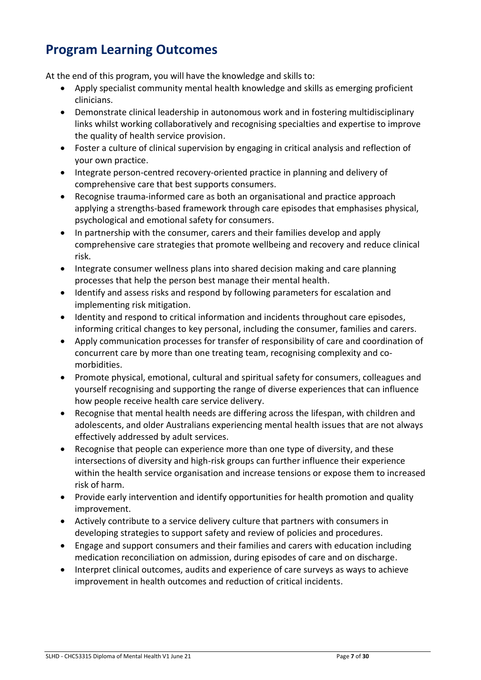### <span id="page-6-0"></span>**Program Learning Outcomes**

At the end of this program, you will have the knowledge and skills to:

- Apply specialist community mental health knowledge and skills as emerging proficient clinicians.
- Demonstrate clinical leadership in autonomous work and in fostering multidisciplinary links whilst working collaboratively and recognising specialties and expertise to improve the quality of health service provision.
- Foster a culture of clinical supervision by engaging in critical analysis and reflection of your own practice.
- Integrate person-centred recovery-oriented practice in planning and delivery of comprehensive care that best supports consumers.
- Recognise trauma-informed care as both an organisational and practice approach applying a strengths-based framework through care episodes that emphasises physical, psychological and emotional safety for consumers.
- In partnership with the consumer, carers and their families develop and apply comprehensive care strategies that promote wellbeing and recovery and reduce clinical risk.
- Integrate consumer wellness plans into shared decision making and care planning processes that help the person best manage their mental health.
- Identify and assess risks and respond by following parameters for escalation and implementing risk mitigation.
- Identity and respond to critical information and incidents throughout care episodes, informing critical changes to key personal, including the consumer, families and carers.
- Apply communication processes for transfer of responsibility of care and coordination of concurrent care by more than one treating team, recognising complexity and comorbidities.
- Promote physical, emotional, cultural and spiritual safety for consumers, colleagues and yourself recognising and supporting the range of diverse experiences that can influence how people receive health care service delivery.
- Recognise that mental health needs are differing across the lifespan, with children and adolescents, and older Australians experiencing mental health issues that are not always effectively addressed by adult services.
- Recognise that people can experience more than one type of diversity, and these intersections of diversity and high-risk groups can further influence their experience within the health service organisation and increase tensions or expose them to increased risk of harm.
- Provide early intervention and identify opportunities for health promotion and quality improvement.
- Actively contribute to a service delivery culture that partners with consumers in developing strategies to support safety and review of policies and procedures.
- Engage and support consumers and their families and carers with education including medication reconciliation on admission, during episodes of care and on discharge.
- Interpret clinical outcomes, audits and experience of care surveys as ways to achieve improvement in health outcomes and reduction of critical incidents.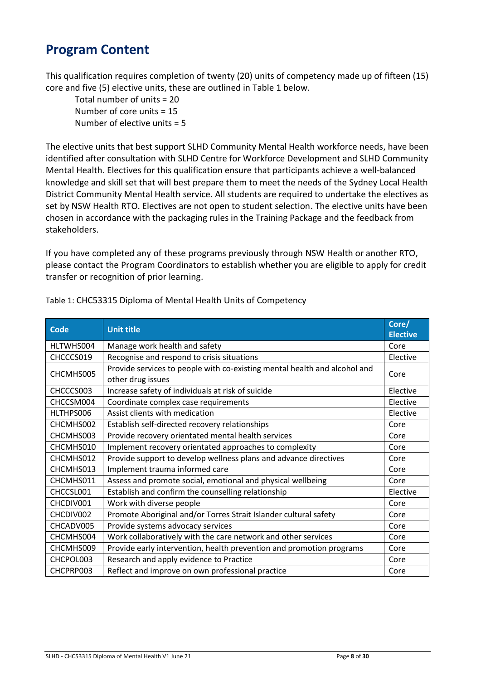### **Program Content**

This qualification requires completion of twenty (20) units of competency made up of fifteen (15) core and five (5) elective units, these are outlined in Table 1 below.

Total number of units = 20 Number of core units = 15 Number of elective units  $= 5$ 

The elective units that best support SLHD Community Mental Health workforce needs, have been identified after consultation with SLHD Centre for Workforce Development and SLHD Community Mental Health. Electives for this qualification ensure that participants achieve a well-balanced knowledge and skill set that will best prepare them to meet the needs of the Sydney Local Health District Community Mental Health service. All students are required to undertake the electives as set by NSW Health RTO. Electives are not open to student selection. The elective units have been chosen in accordance with the packaging rules in the Training Package and the feedback from stakeholders.

If you have completed any of these programs previously through NSW Health or another RTO, please contact the Program Coordinators to establish whether you are eligible to apply for credit transfer or recognition of prior learning.

| <b>Code</b> | <b>Unit title</b>                                                                              | Core/<br><b>Elective</b> |
|-------------|------------------------------------------------------------------------------------------------|--------------------------|
| HLTWHS004   | Manage work health and safety                                                                  | Core                     |
| CHCCCS019   | Recognise and respond to crisis situations                                                     | Elective                 |
| CHCMHS005   | Provide services to people with co-existing mental health and alcohol and<br>other drug issues | Core                     |
| CHCCCS003   | Increase safety of individuals at risk of suicide                                              | Elective                 |
| CHCCSM004   | Coordinate complex case requirements                                                           | Elective                 |
| HLTHPS006   | Assist clients with medication                                                                 | Elective                 |
| CHCMHS002   | Establish self-directed recovery relationships                                                 | Core                     |
| CHCMHS003   | Provide recovery orientated mental health services                                             | Core                     |
| CHCMHS010   | Implement recovery orientated approaches to complexity                                         | Core                     |
| CHCMHS012   | Provide support to develop wellness plans and advance directives                               | Core                     |
| CHCMHS013   | Implement trauma informed care                                                                 | Core                     |
| CHCMHS011   | Assess and promote social, emotional and physical wellbeing                                    | Core                     |
| CHCCSL001   | Establish and confirm the counselling relationship                                             | Elective                 |
| CHCDIV001   | Work with diverse people                                                                       | Core                     |
| CHCDIV002   | Promote Aboriginal and/or Torres Strait Islander cultural safety                               | Core                     |
| CHCADV005   | Provide systems advocacy services                                                              | Core                     |
| CHCMHS004   | Work collaboratively with the care network and other services                                  | Core                     |
| CHCMHS009   | Provide early intervention, health prevention and promotion programs                           | Core                     |
| CHCPOL003   | Research and apply evidence to Practice                                                        | Core                     |
| CHCPRP003   | Reflect and improve on own professional practice                                               | Core                     |

Table 1: CHC53315 Diploma of Mental Health Units of Competency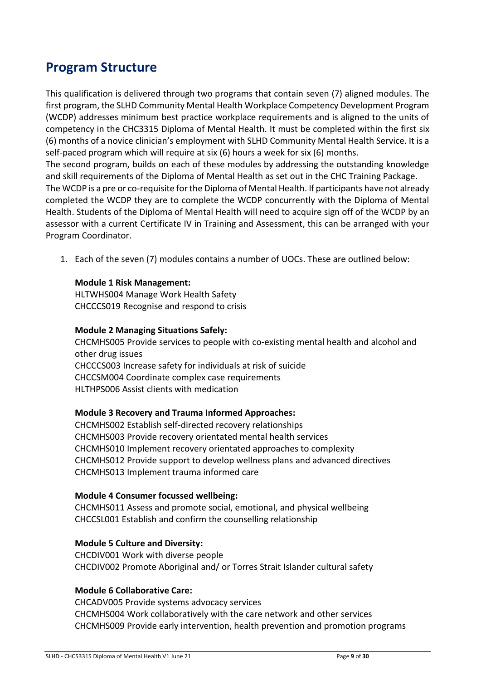### **Program Structure**

This qualification is delivered through two programs that contain seven (7) aligned modules. The first program, the SLHD Community Mental Health Workplace Competency Development Program (WCDP) addresses minimum best practice workplace requirements and is aligned to the units of competency in the CHC3315 Diploma of Mental Health. It must be completed within the first six (6) months of a novice clinician's employment with SLHD Community Mental Health Service. It is a self-paced program which will require at six (6) hours a week for six (6) months.

The second program, builds on each of these modules by addressing the outstanding knowledge and skill requirements of the Diploma of Mental Health as set out in the CHC Training Package.

The WCDP is a pre or co-requisite for the Diploma of Mental Health. If participants have not already completed the WCDP they are to complete the WCDP concurrently with the Diploma of Mental Health. Students of the Diploma of Mental Health will need to acquire sign off of the WCDP by an assessor with a current Certificate IV in Training and Assessment, this can be arranged with your Program Coordinator.

1. Each of the seven (7) modules contains a number of UOCs. These are outlined below:

#### **Module 1 Risk Management:**

HLTWHS004 Manage Work Health Safety CHCCCS019 Recognise and respond to crisis

#### **Module 2 Managing Situations Safely:**

CHCMHS005 Provide services to people with co-existing mental health and alcohol and other drug issues CHCCCS003 Increase safety for individuals at risk of suicide CHCCSM004 Coordinate complex case requirements HLTHPS006 Assist clients with medication

#### **Module 3 Recovery and Trauma Informed Approaches:**

CHCMHS002 Establish self-directed recovery relationships CHCMHS003 Provide recovery orientated mental health services CHCMHS010 Implement recovery orientated approaches to complexity CHCMHS012 Provide support to develop wellness plans and advanced directives CHCMHS013 Implement trauma informed care

#### **Module 4 Consumer focussed wellbeing:**

CHCMHS011 Assess and promote social, emotional, and physical wellbeing CHCCSL001 Establish and confirm the counselling relationship

#### **Module 5 Culture and Diversity:**

CHCDIV001 Work with diverse people CHCDIV002 Promote Aboriginal and/ or Torres Strait Islander cultural safety

#### **Module 6 Collaborative Care:**

CHCADV005 Provide systems advocacy services CHCMHS004 Work collaboratively with the care network and other services CHCMHS009 Provide early intervention, health prevention and promotion programs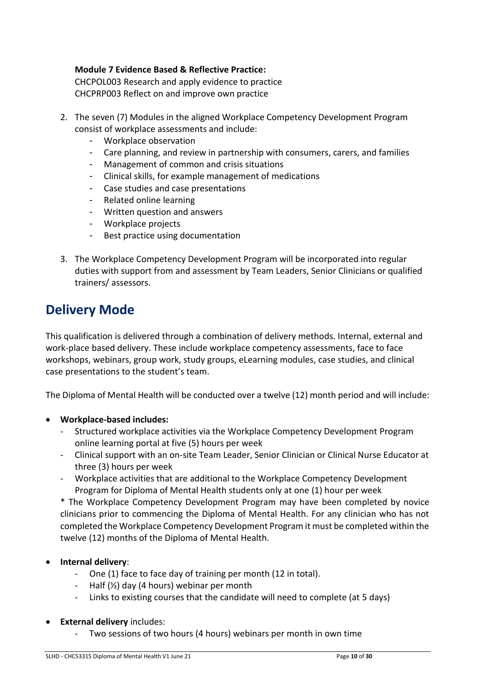#### **Module 7 Evidence Based & Reflective Practice:**

CHCPOL003 Research and apply evidence to practice CHCPRP003 Reflect on and improve own practice

- 2. The seven (7) Modules in the aligned Workplace Competency Development Program consist of workplace assessments and include:
	- Workplace observation
	- Care planning, and review in partnership with consumers, carers, and families
	- Management of common and crisis situations
	- Clinical skills, for example management of medications
	- Case studies and case presentations
	- Related online learning
	- Written question and answers
	- Workplace projects
	- Best practice using documentation
- 3. The Workplace Competency Development Program will be incorporated into regular duties with support from and assessment by Team Leaders, Senior Clinicians or qualified trainers/ assessors.

#### <span id="page-9-0"></span>**Delivery Mode**

This qualification is delivered through a combination of delivery methods. Internal, external and work-place based delivery. These include workplace competency assessments, face to face workshops, webinars, group work, study groups, eLearning modules, case studies, and clinical case presentations to the student's team.

The Diploma of Mental Health will be conducted over a twelve (12) month period and will include:

- **Workplace-based includes:**
	- Structured workplace activities via the Workplace Competency Development Program online learning portal at five (5) hours per week
	- Clinical support with an on-site Team Leader, Senior Clinician or Clinical Nurse Educator at three (3) hours per week
	- Workplace activities that are additional to the Workplace Competency Development Program for Diploma of Mental Health students only at one (1) hour per week

\* The Workplace Competency Development Program may have been completed by novice clinicians prior to commencing the Diploma of Mental Health. For any clinician who has not completed the Workplace Competency Development Program it must be completed within the twelve (12) months of the Diploma of Mental Health.

- **Internal delivery**:
	- One (1) face to face day of training per month (12 in total).
	- Half  $(Y_2)$  day (4 hours) webinar per month
	- Links to existing courses that the candidate will need to complete (at 5 days)
- **External delivery** includes:
	- Two sessions of two hours (4 hours) webinars per month in own time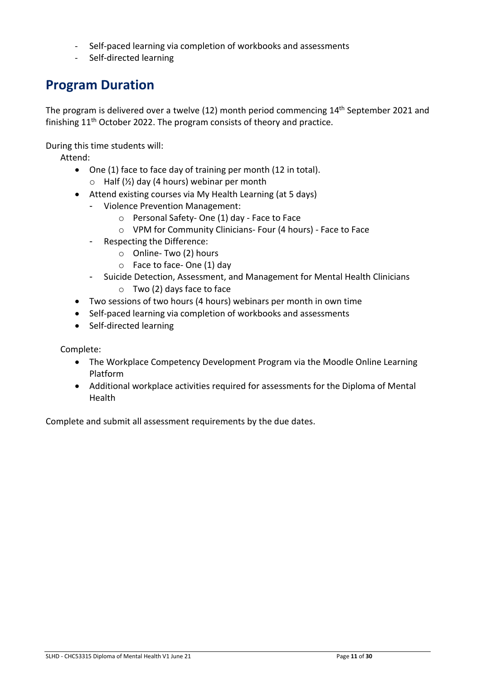- Self-paced learning via completion of workbooks and assessments
- Self-directed learning

#### <span id="page-10-0"></span>**Program Duration**

The program is delivered over a twelve (12) month period commencing 14<sup>th</sup> September 2021 and finishing  $11<sup>th</sup>$  October 2022. The program consists of theory and practice.

During this time students will:

Attend:

- One (1) face to face day of training per month (12 in total).  $\circ$  Half ( $\frac{1}{2}$ ) day (4 hours) webinar per month
- Attend existing courses via My Health Learning (at 5 days)
	- Violence Prevention Management:
		- o Personal Safety- One (1) day Face to Face
		- o VPM for Community Clinicians- Four (4 hours) Face to Face
	- Respecting the Difference:
		- o Online- Two (2) hours
		- o Face to face- One (1) day
	- Suicide Detection, Assessment, and Management for Mental Health Clinicians
		- o Two (2) days face to face
- Two sessions of two hours (4 hours) webinars per month in own time
- Self-paced learning via completion of workbooks and assessments
- Self-directed learning

Complete:

- The Workplace Competency Development Program via the Moodle Online Learning Platform
- Additional workplace activities required for assessments for the Diploma of Mental Health

Complete and submit all assessment requirements by the due dates.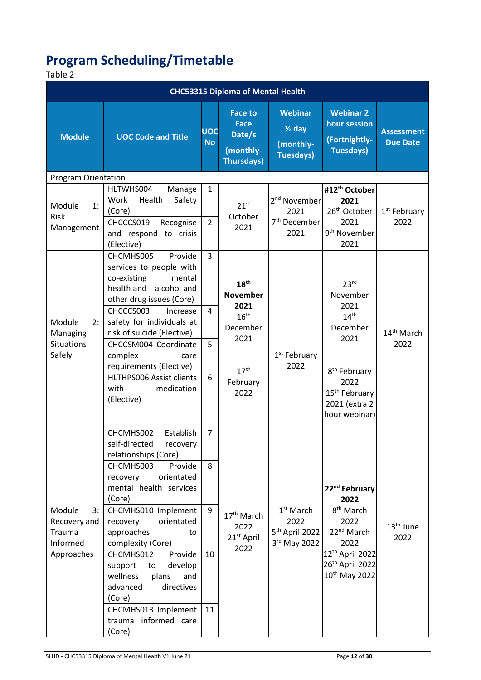# <span id="page-11-0"></span>**Program Scheduling/Timetable**

#### Table 2

| <b>CHC53315 Diploma of Mental Health</b>                         |                                                                                                                                                                                                                                                                                                                                                                                                                                          |                                      |                                                                                                                             |                                                                      |                                                                                                                                                                                     |                                      |  |  |
|------------------------------------------------------------------|------------------------------------------------------------------------------------------------------------------------------------------------------------------------------------------------------------------------------------------------------------------------------------------------------------------------------------------------------------------------------------------------------------------------------------------|--------------------------------------|-----------------------------------------------------------------------------------------------------------------------------|----------------------------------------------------------------------|-------------------------------------------------------------------------------------------------------------------------------------------------------------------------------------|--------------------------------------|--|--|
| <b>Module</b>                                                    | <b>UOC Code and Title</b>                                                                                                                                                                                                                                                                                                                                                                                                                | <b>UOC</b><br><b>No</b>              | <b>Face to</b><br><b>Face</b><br>Date/s<br>(monthly-<br><b>Thursdays)</b>                                                   | <b>Webinar</b><br>$1$ day<br>(monthly-<br><b>Tuesdays)</b>           | <b>Webinar 2</b><br>hour session<br>(Fortnightly-<br><b>Tuesdays)</b>                                                                                                               | <b>Assessment</b><br><b>Due Date</b> |  |  |
| <b>Program Orientation</b>                                       |                                                                                                                                                                                                                                                                                                                                                                                                                                          |                                      |                                                                                                                             |                                                                      |                                                                                                                                                                                     |                                      |  |  |
| 1:<br>Module<br><b>Risk</b><br>Management                        | HLTWHS004<br>Manage<br>Work<br>Safety<br>Health<br>(Core)<br>CHCCCS019<br>Recognise<br>and respond to crisis<br>(Elective)                                                                                                                                                                                                                                                                                                               | $\mathbf{1}$<br>$\overline{2}$       | $21^{st}$<br>October<br>2021                                                                                                | 2 <sup>nd</sup> November<br>2021<br>7 <sup>th</sup> December<br>2021 | #12 <sup>th</sup> October<br>2021<br>26 <sup>th</sup> October<br>2021<br>9 <sup>th</sup> November<br>2021                                                                           | 1 <sup>st</sup> February<br>2022     |  |  |
| Module<br>2:<br>Managing<br><b>Situations</b><br>Safely          | CHCMHS005<br>Provide<br>services to people with<br>co-existing<br>mental<br>health and<br>alcohol and<br>other drug issues (Core)<br>CHCCCS003<br>Increase<br>safety for individuals at<br>risk of suicide (Elective)<br>CHCCSM004 Coordinate<br>complex<br>care<br>requirements (Elective)<br>HLTHPS006 Assist clients<br>with<br>medication<br>(Elective)                                                                              | 3<br>4<br>5<br>6                     | 18 <sup>th</sup><br><b>November</b><br>2021<br>16 <sup>th</sup><br>December<br>2021<br>17 <sup>th</sup><br>February<br>2022 | 1 <sup>st</sup> February<br>2022                                     | 23 <sup>rd</sup><br>November<br>2021<br>14 <sup>th</sup><br>December<br>2021<br>8 <sup>th</sup> February<br>2022<br>15 <sup>th</sup> February<br>2021 (extra 2<br>hour webinar)     | 14 <sup>th</sup> March<br>2022       |  |  |
| Module<br>3:<br>Recovery and<br>Trauma<br>Informed<br>Approaches | CHCMHS002<br>Establish<br>self-directed<br>recovery<br>relationships (Core)<br>Provide<br>CHCMHS003<br>orientated<br>recovery<br>mental health services<br>(Core)<br>CHCMHS010 Implement<br>orientated<br>recovery<br>approaches<br>to<br>complexity (Core)<br>CHCMHS012<br>Provide<br>develop<br>support<br>to<br>wellness<br>plans<br>and<br>advanced<br>directives<br>(Core)<br>CHCMHS013 Implement<br>trauma informed care<br>(Core) | $\overline{7}$<br>8<br>9<br>10<br>11 | 17 <sup>th</sup> March<br>2022<br>21 <sup>st</sup> April<br>2022                                                            | $1st$ March<br>2022<br>5 <sup>th</sup> April 2022<br>3rd May 2022    | 22 <sup>nd</sup> February<br>2022<br>8 <sup>th</sup> March<br>2022<br>22 <sup>nd</sup> March<br>2022<br>12th April 2022<br>26 <sup>th</sup> April 2022<br>10 <sup>th</sup> May 2022 | 13 <sup>th</sup> June<br>2022        |  |  |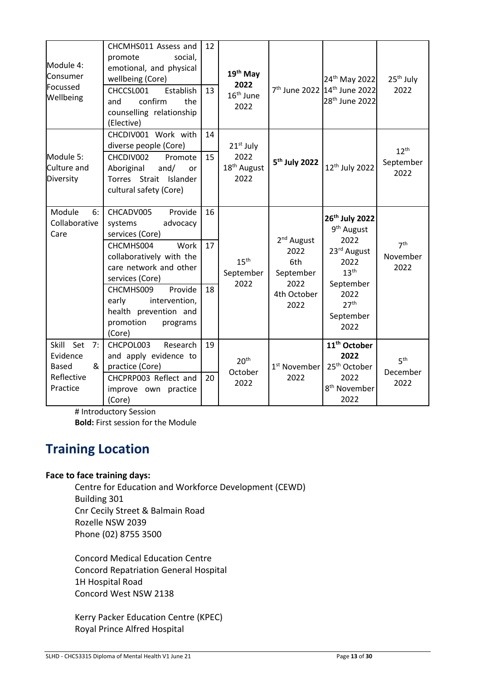| Module 4:<br>Consumer<br>Focussed<br>Wellbeing                             | CHCMHS011 Assess and<br>promote<br>social,<br>emotional, and physical<br>wellbeing (Core)<br>CHCCSL001<br>Establish<br>confirm<br>the<br>and<br>counselling relationship<br>(Elective)                                                                                     | 12<br>13       | 19 <sup>th</sup> May<br>2022<br>16 <sup>th</sup> June<br>2022 |                                                                                   | 24 <sup>th</sup> May 2022<br>7 <sup>th</sup> June 2022 14 <sup>th</sup> June 2022<br>28 <sup>th</sup> June 2022                                           | 25 <sup>th</sup> July<br>2022       |
|----------------------------------------------------------------------------|----------------------------------------------------------------------------------------------------------------------------------------------------------------------------------------------------------------------------------------------------------------------------|----------------|---------------------------------------------------------------|-----------------------------------------------------------------------------------|-----------------------------------------------------------------------------------------------------------------------------------------------------------|-------------------------------------|
| Module 5:<br>Culture and<br>Diversity                                      | CHCDIV001 Work with<br>diverse people (Core)<br>CHCDIV002<br>Promote<br>Aboriginal<br>and/<br>or<br>Torres Strait Islander<br>cultural safety (Core)                                                                                                                       | 14<br>15       | $21st$ July<br>2022<br>18 <sup>th</sup> August<br>2022        | 5 <sup>th</sup> July 2022                                                         | 12th July 2022                                                                                                                                            | $12^{th}$<br>September<br>2022      |
| Module<br>6:<br>Collaborative<br>Care                                      | CHCADV005<br>Provide<br>advocacy<br>systems<br>services (Core)<br>CHCMHS004<br>Work<br>collaboratively with the<br>care network and other<br>services (Core)<br>Provide<br>CHCMHS009<br>early<br>intervention,<br>health prevention and<br>promotion<br>programs<br>(Core) | 16<br>17<br>18 | 15 <sup>th</sup><br>September<br>2022                         | 2 <sup>nd</sup> August<br>2022<br>6th<br>September<br>2022<br>4th October<br>2022 | 26th July 2022<br>9 <sup>th</sup> August<br>2022<br>23rd August<br>2022<br>13 <sup>th</sup><br>September<br>2022<br>27 <sup>th</sup><br>September<br>2022 | 7 <sup>th</sup><br>November<br>2022 |
| Skill Set<br>7:<br>Evidence<br>&<br><b>Based</b><br>Reflective<br>Practice | CHCPOL003<br>Research<br>and apply evidence to<br>practice (Core)<br>CHCPRP003 Reflect and<br>improve own practice<br>(Core)                                                                                                                                               | 19<br>20       | 20 <sup>th</sup><br>October<br>2022                           | 1 <sup>st</sup> November<br>2022                                                  | 11 <sup>th</sup> October<br>2022<br>25 <sup>th</sup> October<br>2022<br>8 <sup>th</sup> November<br>2022                                                  | 5 <sup>th</sup><br>December<br>2022 |

# Introductory Session **Bold:** First session for the Module

### <span id="page-12-0"></span>**Training Location**

#### **Face to face training days:**

 Centre for Education and Workforce Development (CEWD) Building 301 Cnr Cecily Street & Balmain Road Rozelle NSW 2039 Phone (02) 8755 3500

Concord Medical Education Centre Concord Repatriation General Hospital 1H Hospital Road Concord West NSW 2138

Kerry Packer Education Centre (KPEC) Royal Prince Alfred Hospital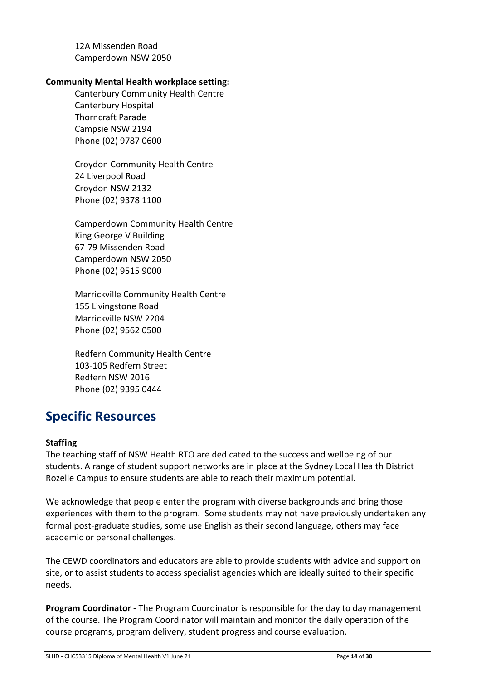12A Missenden Road Camperdown NSW 2050

#### **Community Mental Health workplace setting:**

Canterbury Community Health Centre Canterbury Hospital Thorncraft Parade Campsie NSW 2194 Phone (02) 9787 0600

Croydon Community Health Centre 24 Liverpool Road Croydon NSW 2132 Phone (02) 9378 1100

Camperdown Community Health Centre King George V Building 67-79 Missenden Road Camperdown NSW 2050 Phone (02) 9515 9000

Marrickville Community Health Centre 155 Livingstone Road Marrickville NSW 2204 Phone (02) 9562 0500

Redfern Community Health Centre 103-105 Redfern Street Redfern NSW 2016 Phone (02) 9395 0444

### **Specific Resources**

#### **Staffing**

The teaching staff of NSW Health RTO are dedicated to the success and wellbeing of our students. A range of student support networks are in place at the Sydney Local Health District Rozelle Campus to ensure students are able to reach their maximum potential.

We acknowledge that people enter the program with diverse backgrounds and bring those experiences with them to the program. Some students may not have previously undertaken any formal post-graduate studies, some use English as their second language, others may face academic or personal challenges.

The CEWD coordinators and educators are able to provide students with advice and support on site, or to assist students to access specialist agencies which are ideally suited to their specific needs.

**Program Coordinator -** The Program Coordinator is responsible for the day to day management of the course. The Program Coordinator will maintain and monitor the daily operation of the course programs, program delivery, student progress and course evaluation.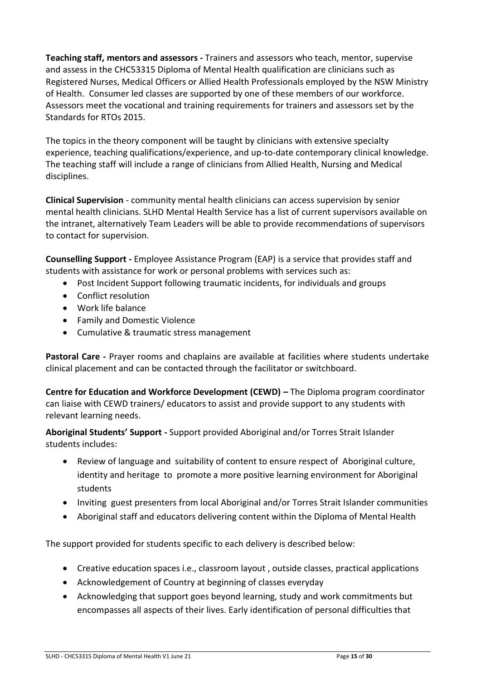**Teaching staff, mentors and assessors -** Trainers and assessors who teach, mentor, supervise and assess in the CHC53315 Diploma of Mental Health qualification are clinicians such as Registered Nurses, Medical Officers or Allied Health Professionals employed by the NSW Ministry of Health. Consumer led classes are supported by one of these members of our workforce. Assessors meet the vocational and training requirements for trainers and assessors set by the Standards for RTOs 2015.

The topics in the theory component will be taught by clinicians with extensive specialty experience, teaching qualifications/experience, and up-to-date contemporary clinical knowledge. The teaching staff will include a range of clinicians from Allied Health, Nursing and Medical disciplines.

**Clinical Supervision** - community mental health clinicians can access supervision by senior mental health clinicians. SLHD Mental Health Service has a list of current supervisors available on the intranet, alternatively Team Leaders will be able to provide recommendations of supervisors to contact for supervision.

**Counselling Support -** Employee Assistance Program (EAP) is a service that provides staff and students with assistance for work or personal problems with services such as:

- Post Incident Support following traumatic incidents, for individuals and groups
- Conflict resolution
- Work life balance
- Family and Domestic Violence
- Cumulative & traumatic stress management

**Pastoral Care -** Prayer rooms and chaplains are available at facilities where students undertake clinical placement and can be contacted through the facilitator or switchboard.

**Centre for Education and Workforce Development (CEWD) –** The Diploma program coordinator can liaise with CEWD trainers/ educators to assist and provide support to any students with relevant learning needs.

**Aboriginal Students' Support -** Support provided Aboriginal and/or Torres Strait Islander students includes:

- Review of language and suitability of content to ensure respect of Aboriginal culture, identity and heritage to promote a more positive learning environment for Aboriginal students
- Inviting guest presenters from local Aboriginal and/or Torres Strait Islander communities
- Aboriginal staff and educators delivering content within the Diploma of Mental Health

The support provided for students specific to each delivery is described below:

- Creative education spaces i.e., classroom layout , outside classes, practical applications
- Acknowledgement of Country at beginning of classes everyday
- Acknowledging that support goes beyond learning, study and work commitments but encompasses all aspects of their lives. Early identification of personal difficulties that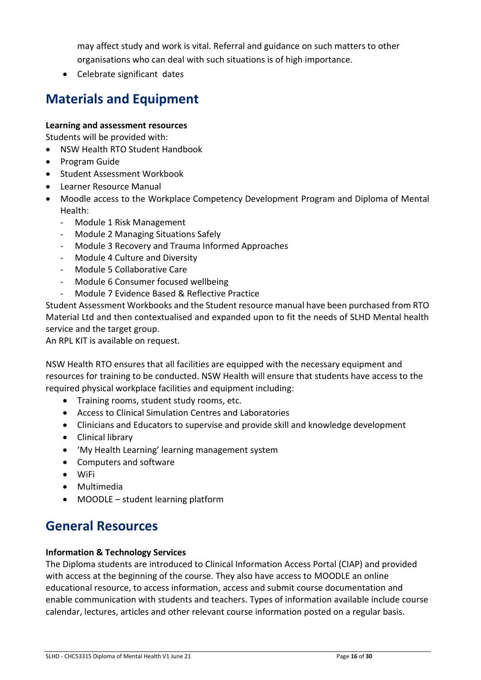<span id="page-15-0"></span>may affect study and work is vital. Referral and guidance on such matters to other organisations who can deal with such situations is of high importance.

Celebrate significant dates

### **Materials and Equipment**

#### **Learning and assessment resources**

Students will be provided with:

- NSW Health RTO Student Handbook
- Program Guide
- Student Assessment Workbook
- Learner Resource Manual
- Moodle access to the Workplace Competency Development Program and Diploma of Mental Health:
	- Module 1 Risk Management
	- Module 2 Managing Situations Safely
	- Module 3 Recovery and Trauma Informed Approaches
	- Module 4 Culture and Diversity
	- Module 5 Collaborative Care
	- Module 6 Consumer focused wellbeing
	- Module 7 Evidence Based & Reflective Practice

Student Assessment Workbooks and the Student resource manual have been purchased from RTO Material Ltd and then contextualised and expanded upon to fit the needs of SLHD Mental health service and the target group.

An RPL KIT is available on request.

NSW Health RTO ensures that all facilities are equipped with the necessary equipment and resources for training to be conducted. NSW Health will ensure that students have access to the required physical workplace facilities and equipment including:

- Training rooms, student study rooms, etc.
- Access to Clinical Simulation Centres and Laboratories
- Clinicians and Educators to supervise and provide skill and knowledge development
- Clinical library
- 'My Health Learning' learning management system
- Computers and software
- WiFi
- Multimedia
- MOODLE student learning platform

#### <span id="page-15-1"></span>**General Resources**

#### **Information & Technology Services**

The Diploma students are introduced to Clinical Information Access Portal (CIAP) and provided with access at the beginning of the course. They also have access to MOODLE an online educational resource, to access information, access and submit course documentation and enable communication with students and teachers. Types of information available include course calendar, lectures, articles and other relevant course information posted on a regular basis.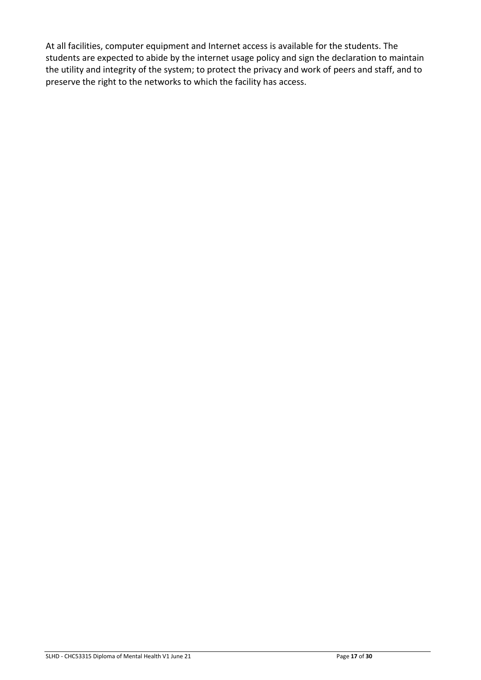At all facilities, computer equipment and Internet access is available for the students. The students are expected to abide by the internet usage policy and sign the declaration to maintain the utility and integrity of the system; to protect the privacy and work of peers and staff, and to preserve the right to the networks to which the facility has access.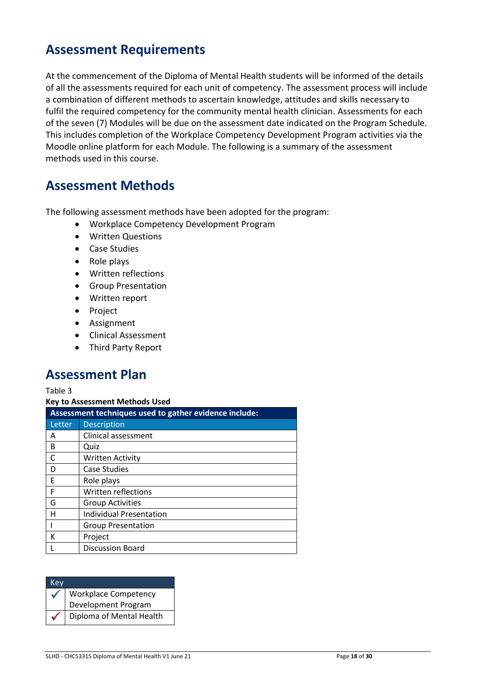#### <span id="page-17-0"></span>**Assessment Requirements**

At the commencement of the Diploma of Mental Health students will be informed of the details of all the assessments required for each unit of competency. The assessment process will include a combination of different methods to ascertain knowledge, attitudes and skills necessary to fulfil the required competency for the community mental health clinician. Assessments for each of the seven (7) Modules will be due on the assessment date indicated on the Program Schedule. This includes completion of the Workplace Competency Development Program activities via the Moodle online platform for each Module. The following is a summary of the assessment methods used in this course.

#### <span id="page-17-1"></span>**Assessment Methods**

The following assessment methods have been adopted for the program:

- Workplace Competency Development Program
- Written Questions
- Case Studies
- Role plays
- Written reflections
- Group Presentation
- Written report
- Project
- Assignment
- Clinical Assessment
- Third Party Report

#### <span id="page-17-2"></span>**Assessment Plan**

Table 3

**Key to Assessment Methods Used** 

|        | Assessment techniques used to gather evidence include: |  |  |  |  |  |  |
|--------|--------------------------------------------------------|--|--|--|--|--|--|
| Letter | <b>Description</b>                                     |  |  |  |  |  |  |
| Α      | Clinical assessment                                    |  |  |  |  |  |  |
| B      | Quiz                                                   |  |  |  |  |  |  |
| C      | <b>Written Activity</b>                                |  |  |  |  |  |  |
| D      | <b>Case Studies</b>                                    |  |  |  |  |  |  |
| E      | Role plays                                             |  |  |  |  |  |  |
| F      | Written reflections                                    |  |  |  |  |  |  |
| G      | <b>Group Activities</b>                                |  |  |  |  |  |  |
| н      | Individual Presentation                                |  |  |  |  |  |  |
|        | <b>Group Presentation</b>                              |  |  |  |  |  |  |
| K      | Project                                                |  |  |  |  |  |  |
|        | <b>Discussion Board</b>                                |  |  |  |  |  |  |

| Kev          |                                             |
|--------------|---------------------------------------------|
| $\checkmark$ | Workplace Competency<br>Development Program |
|              |                                             |
|              | Diploma of Mental Health                    |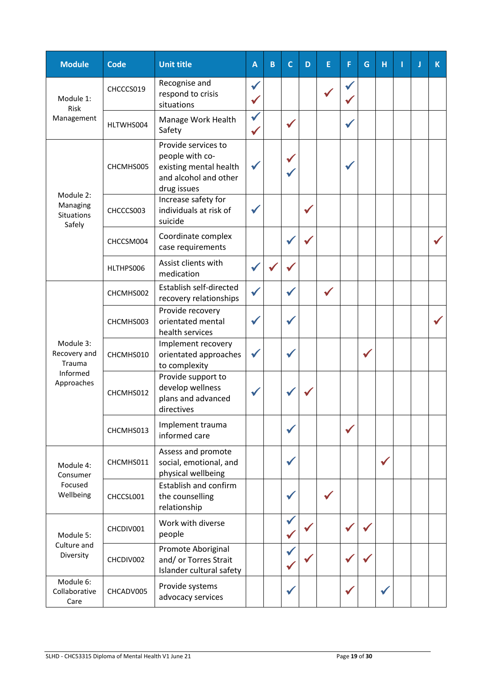| <b>Module</b>                                        | <b>Code</b> | <b>Unit title</b>                                                                                        | A            | $\mathsf B$ | $\mathsf{C}$ | D | E | F            | G | H | П | Л | $\mathsf{K}$ |
|------------------------------------------------------|-------------|----------------------------------------------------------------------------------------------------------|--------------|-------------|--------------|---|---|--------------|---|---|---|---|--------------|
| Module 1:<br>Risk                                    | CHCCCS019   | Recognise and<br>respond to crisis<br>situations                                                         |              |             |              |   |   |              |   |   |   |   |              |
| Management                                           | HLTWHS004   | Manage Work Health<br>Safety                                                                             | $\checkmark$ |             |              |   |   |              |   |   |   |   |              |
|                                                      | CHCMHS005   | Provide services to<br>people with co-<br>existing mental health<br>and alcohol and other<br>drug issues |              |             |              |   |   |              |   |   |   |   |              |
| Module 2:<br>Managing<br><b>Situations</b><br>Safely | CHCCCS003   | Increase safety for<br>individuals at risk of<br>suicide                                                 |              |             |              |   |   |              |   |   |   |   |              |
|                                                      | CHCCSM004   | Coordinate complex<br>case requirements                                                                  |              |             |              |   |   |              |   |   |   |   |              |
|                                                      | HLTHPS006   | Assist clients with<br>medication                                                                        |              |             |              |   |   |              |   |   |   |   |              |
|                                                      | CHCMHS002   | Establish self-directed<br>recovery relationships                                                        |              |             |              |   |   |              |   |   |   |   |              |
|                                                      | CHCMHS003   | Provide recovery<br>orientated mental<br>health services                                                 |              |             |              |   |   |              |   |   |   |   |              |
| Module 3:<br>Recovery and<br>Trauma                  | CHCMHS010   | Implement recovery<br>orientated approaches<br>to complexity                                             |              |             |              |   |   |              |   |   |   |   |              |
| Informed<br>Approaches                               | CHCMHS012   | Provide support to<br>develop wellness<br>plans and advanced<br>directives                               |              |             |              |   |   |              |   |   |   |   |              |
|                                                      | CHCMHS013   | Implement trauma<br>informed care                                                                        |              |             |              |   |   | $\checkmark$ |   |   |   |   |              |
| Module 4:<br>Consumer                                | CHCMHS011   | Assess and promote<br>social, emotional, and<br>physical wellbeing                                       |              |             |              |   |   |              |   |   |   |   |              |
| Focused<br>Wellbeing                                 | CHCCSL001   | Establish and confirm<br>the counselling<br>relationship                                                 |              |             |              |   |   |              |   |   |   |   |              |
| Module 5:                                            | CHCDIV001   | Work with diverse<br>people                                                                              |              |             |              |   |   |              |   |   |   |   |              |
| Culture and<br>Diversity                             | CHCDIV002   | Promote Aboriginal<br>and/ or Torres Strait<br>Islander cultural safety                                  |              |             |              |   |   |              |   |   |   |   |              |
| Module 6:<br>Collaborative<br>Care                   | CHCADV005   | Provide systems<br>advocacy services                                                                     |              |             |              |   |   |              |   |   |   |   |              |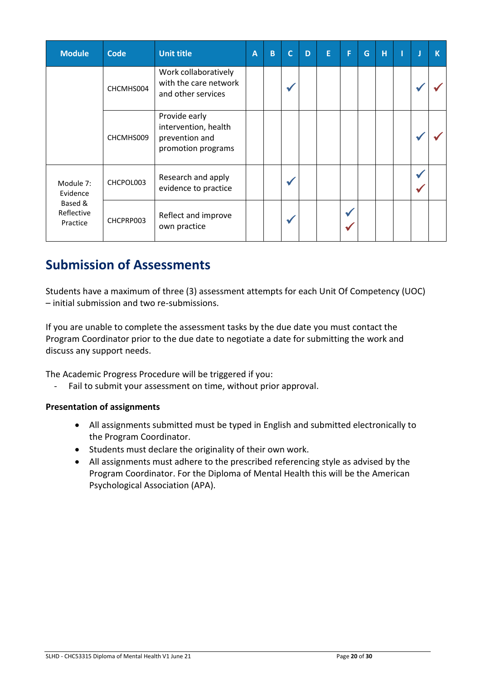| <b>Module</b>                     | <b>Code</b> | <b>Unit title</b>                                                             | Α | $\mathsf B$ | $\mathsf{C}$ | D | E | F | G | H | J | $\mathsf K$ |
|-----------------------------------|-------------|-------------------------------------------------------------------------------|---|-------------|--------------|---|---|---|---|---|---|-------------|
|                                   | CHCMHS004   | Work collaboratively<br>with the care network<br>and other services           |   |             |              |   |   |   |   |   |   |             |
|                                   | CHCMHS009   | Provide early<br>intervention, health<br>prevention and<br>promotion programs |   |             |              |   |   |   |   |   |   |             |
| Module 7:<br>Evidence             | CHCPOL003   | Research and apply<br>evidence to practice                                    |   |             |              |   |   |   |   |   |   |             |
| Based &<br>Reflective<br>Practice | CHCPRP003   | Reflect and improve<br>own practice                                           |   |             |              |   |   |   |   |   |   |             |

### <span id="page-19-0"></span>**Submission of Assessments**

Students have a maximum of three (3) assessment attempts for each Unit Of Competency (UOC) – initial submission and two re-submissions.

If you are unable to complete the assessment tasks by the due date you must contact the Program Coordinator prior to the due date to negotiate a date for submitting the work and discuss any support needs.

The Academic Progress Procedure will be triggered if you:

- Fail to submit your assessment on time, without prior approval.

#### **Presentation of assignments**

- All assignments submitted must be typed in English and submitted electronically to the Program Coordinator.
- Students must declare the originality of their own work.
- All assignments must adhere to the prescribed referencing style as advised by the Program Coordinator. For the Diploma of Mental Health this will be the American Psychological Association (APA).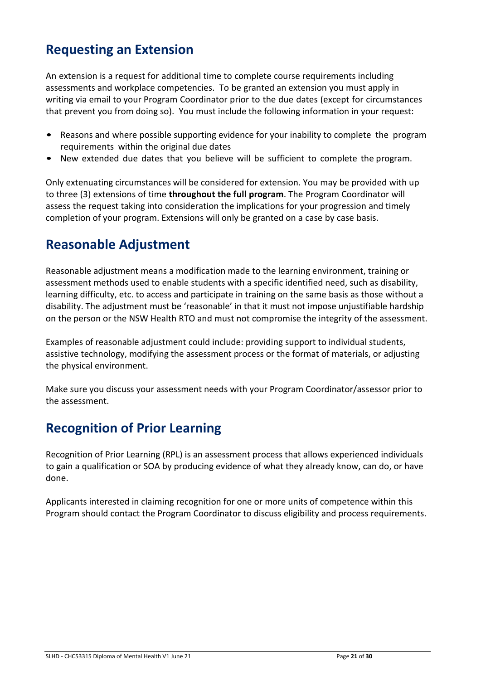### <span id="page-20-0"></span>**Requesting an Extension**

An extension is a request for additional time to complete course requirements including assessments and workplace competencies. To be granted an extension you must apply in writing via email to your Program Coordinator prior to the due dates (except for circumstances that prevent you from doing so). You must include the following information in your request:

- Reasons and where possible supporting evidence for your inability to complete the program requirements within the original due dates
- New extended due dates that you believe will be sufficient to complete the program.

Only extenuating circumstances will be considered for extension. You may be provided with up to three (3) extensions of time **throughout the full program**. The Program Coordinator will assess the request taking into consideration the implications for your progression and timely completion of your program. Extensions will only be granted on a case by case basis.

### <span id="page-20-1"></span>**Reasonable Adjustment**

Reasonable adjustment means a modification made to the learning environment, training or assessment methods used to enable students with a specific identified need, such as disability, learning difficulty, etc. to access and participate in training on the same basis as those without a disability. The adjustment must be 'reasonable' in that it must not impose unjustifiable hardship on the person or the NSW Health RTO and must not compromise the integrity of the assessment.

Examples of reasonable adjustment could include: providing support to individual students, assistive technology, modifying the assessment process or the format of materials, or adjusting the physical environment.

Make sure you discuss your assessment needs with your Program Coordinator/assessor prior to the assessment.

### <span id="page-20-2"></span>**Recognition of Prior Learning**

Recognition of Prior Learning (RPL) is an assessment process that allows experienced individuals to gain a qualification or SOA by producing evidence of what they already know, can do, or have done.

Applicants interested in claiming recognition for one or more units of competence within this Program should contact the Program Coordinator to discuss eligibility and process requirements.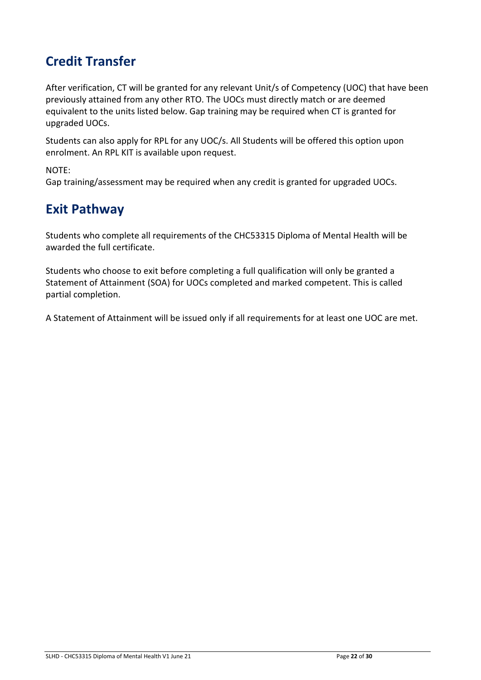# <span id="page-21-0"></span>**Credit Transfer**

After verification, CT will be granted for any relevant Unit/s of Competency (UOC) that have been previously attained from any other RTO. The UOCs must directly match or are deemed equivalent to the units listed below. Gap training may be required when CT is granted for upgraded UOCs.

Students can also apply for RPL for any UOC/s. All Students will be offered this option upon enrolment. An RPL KIT is available upon request.

NOTE:

Gap training/assessment may be required when any credit is granted for upgraded UOCs.

### <span id="page-21-1"></span>**Exit Pathway**

Students who complete all requirements of the CHC53315 Diploma of Mental Health will be awarded the full certificate.

Students who choose to exit before completing a full qualification will only be granted a Statement of Attainment (SOA) for UOCs completed and marked competent. This is called partial completion.

A Statement of Attainment will be issued only if all requirements for at least one UOC are met.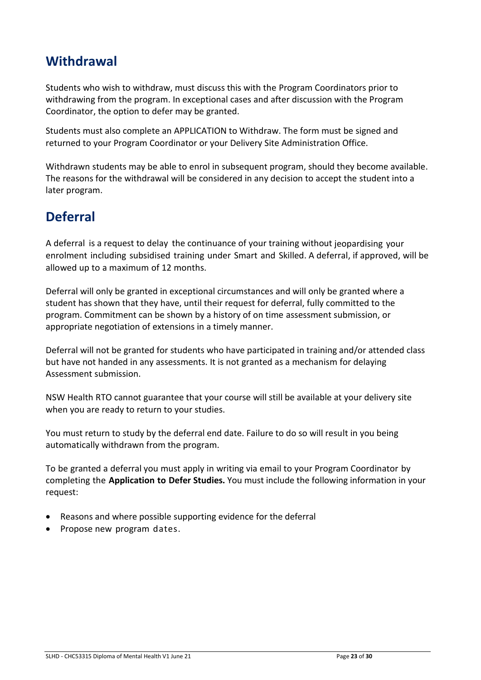### **Withdrawal**

Students who wish to withdraw, must discuss this with the Program Coordinators prior to withdrawing from the program. In exceptional cases and after discussion with the Program Coordinator, the option to defer may be granted.

Students must also complete an APPLICATION to Withdraw. The form must be signed and returned to your Program Coordinator or your Delivery Site Administration Office.

Withdrawn students may be able to enrol in subsequent program, should they become available. The reasons for the withdrawal will be considered in any decision to accept the student into a later program.

### <span id="page-22-0"></span>**Deferral**

A deferral is a request to delay the continuance of your training without jeopardising your enrolment including subsidised training under Smart and Skilled. A deferral, if approved, will be allowed up to a maximum of 12 months.

Deferral will only be granted in exceptional circumstances and will only be granted where a student has shown that they have, until their request for deferral, fully committed to the program. Commitment can be shown by a history of on time assessment submission, or appropriate negotiation of extensions in a timely manner.

Deferral will not be granted for students who have participated in training and/or attended class but have not handed in any assessments. It is not granted as a mechanism for delaying Assessment submission.

NSW Health RTO cannot guarantee that your course will still be available at your delivery site when you are ready to return to your studies.

You must return to study by the deferral end date. Failure to do so will result in you being automatically withdrawn from the program.

To be granted a deferral you must apply in writing via email to your Program Coordinator by completing the **Application to Defer Studies.** You must include the following information in your request:

- Reasons and where possible supporting evidence for the deferral
- Propose new program dates.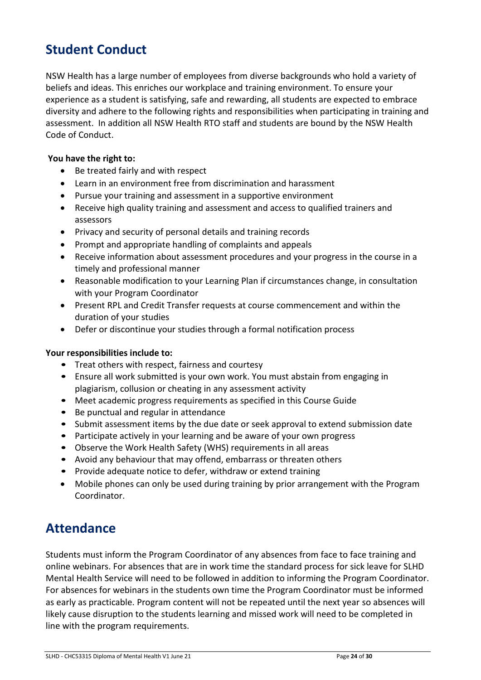### <span id="page-23-0"></span>**Student Conduct**

NSW Health has a large number of employees from diverse backgrounds who hold a variety of beliefs and ideas. This enriches our workplace and training environment. To ensure your experience as a student is satisfying, safe and rewarding, all students are expected to embrace diversity and adhere to the following rights and responsibilities when participating in training and assessment. In addition all NSW Health RTO staff and students are bound by the NSW Health Code of Conduct.

#### **You have the right to:**

- Be treated fairly and with respect
- Learn in an environment free from discrimination and harassment
- Pursue your training and assessment in a supportive environment
- Receive high quality training and assessment and access to qualified trainers and assessors
- Privacy and security of personal details and training records
- Prompt and appropriate handling of complaints and appeals
- Receive information about assessment procedures and your progress in the course in a timely and professional manner
- Reasonable modification to your Learning Plan if circumstances change, in consultation with your Program Coordinator
- Present RPL and Credit Transfer requests at course commencement and within the duration of your studies
- Defer or discontinue your studies through a formal notification process

#### **Your responsibilities include to:**

- Treat others with respect, fairness and courtesy
- Ensure all work submitted is your own work. You must abstain from engaging in plagiarism, collusion or cheating in any assessment activity
- Meet academic progress requirements as specified in this Course Guide
- Be punctual and regular in attendance
- Submit assessment items by the due date or seek approval to extend submission date
- Participate actively in your learning and be aware of your own progress
- Observe the Work Health Safety (WHS) requirements in all areas
- Avoid any behaviour that may offend, embarrass or threaten others
- Provide adequate notice to defer, withdraw or extend training
- Mobile phones can only be used during training by prior arrangement with the Program Coordinator.

#### **Attendance**

Students must inform the Program Coordinator of any absences from face to face training and online webinars. For absences that are in work time the standard process for sick leave for SLHD Mental Health Service will need to be followed in addition to informing the Program Coordinator. For absences for webinars in the students own time the Program Coordinator must be informed as early as practicable. Program content will not be repeated until the next year so absences will likely cause disruption to the students learning and missed work will need to be completed in line with the program requirements.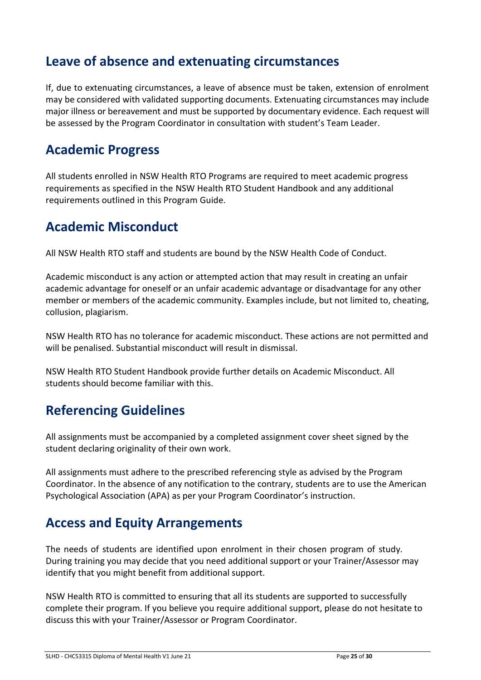### <span id="page-24-0"></span>**Leave of absence and extenuating circumstances**

If, due to extenuating circumstances, a leave of absence must be taken, extension of enrolment may be considered with validated supporting documents. Extenuating circumstances may include major illness or bereavement and must be supported by documentary evidence. Each request will be assessed by the Program Coordinator in consultation with student's Team Leader.

#### <span id="page-24-1"></span>**Academic Progress**

All students enrolled in NSW Health RTO Programs are required to meet academic progress requirements as specified in the NSW Health RTO Student Handbook and any additional requirements outlined in this Program Guide.

### <span id="page-24-2"></span>**Academic Misconduct**

All NSW Health RTO staff and students are bound by the NSW Health Code of Conduct.

Academic misconduct is any action or attempted action that may result in creating an unfair academic advantage for oneself or an unfair academic advantage or disadvantage for any other member or members of the academic community. Examples include, but not limited to, cheating, collusion, plagiarism.

NSW Health RTO has no tolerance for academic misconduct. These actions are not permitted and will be penalised. Substantial misconduct will result in dismissal.

NSW Health RTO Student Handbook provide further details on Academic Misconduct. All students should become familiar with this.

# <span id="page-24-3"></span>**Referencing Guidelines**

All assignments must be accompanied by a completed assignment cover sheet signed by the student declaring originality of their own work.

All assignments must adhere to the prescribed referencing style as advised by the Program Coordinator. In the absence of any notification to the contrary, students are to use the American Psychological Association (APA) as per your Program Coordinator's instruction.

### <span id="page-24-4"></span>**Access and Equity Arrangements**

The needs of students are identified upon enrolment in their chosen program of study. During training you may decide that you need additional support or your Trainer/Assessor may identify that you might benefit from additional support.

NSW Health RTO is committed to ensuring that all its students are supported to successfully complete their program. If you believe you require additional support, please do not hesitate to discuss this with your Trainer/Assessor or Program Coordinator.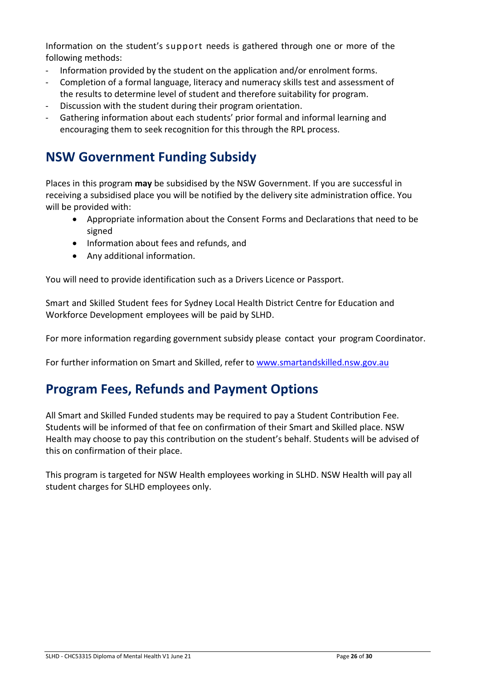Information on the student's support needs is gathered through one or more of the following methods:

- Information provided by the student on the application and/or enrolment forms.
- Completion of a formal language, literacy and numeracy skills test and assessment of the results to determine level of student and therefore suitability for program.
- Discussion with the student during their program orientation.
- Gathering information about each students' prior formal and informal learning and encouraging them to seek recognition for this through the RPL process.

### <span id="page-25-0"></span>**NSW Government Funding Subsidy**

Places in this program **may** be subsidised by the NSW Government. If you are successful in receiving a subsidised place you will be notified by the delivery site administration office. You will be provided with:

- Appropriate information about the Consent Forms and Declarations that need to be signed
- Information about fees and refunds, and
- Any additional information.

You will need to provide identification such as a Drivers Licence or Passport.

Smart and Skilled Student fees for Sydney Local Health District Centre for Education and Workforce Development employees will be paid by SLHD.

For more information regarding government subsidy please contact your program Coordinator.

For further information on Smart and Skilled, refer to [www.smartandskilled.nsw.gov.au](http://www.smartandskilled.nsw.gov.au/)

#### <span id="page-25-1"></span>**Program Fees, Refunds and Payment Options**

All Smart and Skilled Funded students may be required to pay a Student Contribution Fee. Students will be informed of that fee on confirmation of their Smart and Skilled place. NSW Health may choose to pay this contribution on the student's behalf. Students will be advised of this on confirmation of their place.

This program is targeted for NSW Health employees working in SLHD. NSW Health will pay all student charges for SLHD employees only.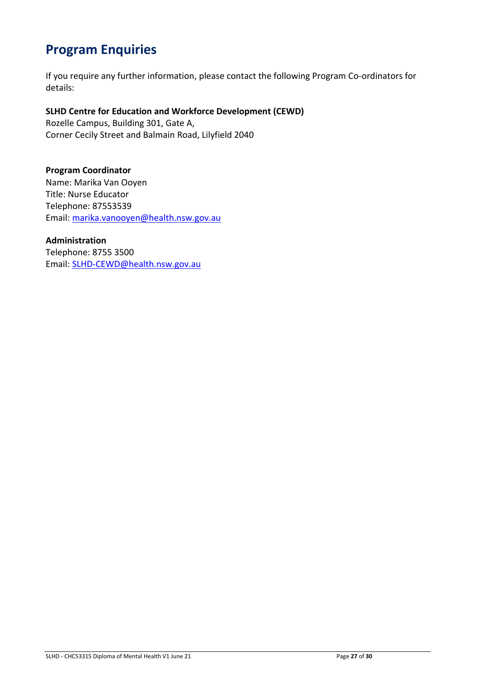### <span id="page-26-0"></span>**Program Enquiries**

If you require any further information, please contact the following Program Co-ordinators for details:

#### **SLHD Centre for Education and Workforce Development (CEWD)**  Rozelle Campus, Building 301, Gate A,

Corner Cecily Street and Balmain Road, Lilyfield 2040

**Program Coordinator**  Name: Marika Van Ooyen Title: Nurse Educator Telephone: 87553539 Email: [marika.vanooyen@health.nsw.gov.au](mailto:marika.vanooyen@health.nsw.gov.au)

**Administration**  Telephone: 8755 3500 Email: [SLHD-CEWD@health.nsw.gov.au](mailto:SLHD-CEWD@health.nsw.gov.au)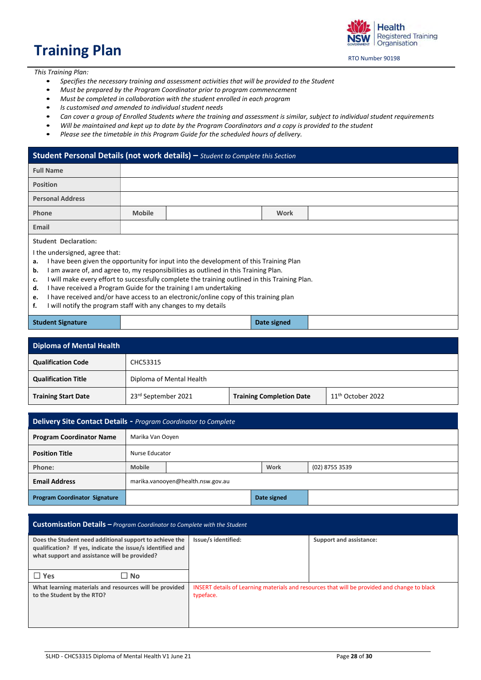# <span id="page-27-0"></span>**Training Plan**

Health **Registered Training** Organisation

RTO Number 90198

*This Training Plan:* 

- *Specifies the necessary training and assessment activities that will be provided to the Student*
- *Must be prepared by the Program Coordinator prior to program commencement*
- *Must be completed in collaboration with the student enrolled in each program*
- *Is customised and amended to individual student needs*
- *Can cover a group of Enrolled Students where the training and assessment is similar, subject to individual student requirements*
- *Will be maintained and kept up to date by the Program Coordinators and a copy is provided to the student*
- *Please see the timetable in this Program Guide for the scheduled hours of delivery.*

#### **Student Personal Details (not work details) –** *Student to Complete this Section*

| <b>Full Name</b>                                                                            |                                                                                              |                                                                                        |             |  |  |
|---------------------------------------------------------------------------------------------|----------------------------------------------------------------------------------------------|----------------------------------------------------------------------------------------|-------------|--|--|
| <b>Position</b>                                                                             |                                                                                              |                                                                                        |             |  |  |
| <b>Personal Address</b>                                                                     |                                                                                              |                                                                                        |             |  |  |
| Phone                                                                                       | <b>Mobile</b>                                                                                |                                                                                        | <b>Work</b> |  |  |
| Email                                                                                       |                                                                                              |                                                                                        |             |  |  |
| <b>Student Declaration:</b>                                                                 |                                                                                              |                                                                                        |             |  |  |
| I the undersigned, agree that:                                                              |                                                                                              |                                                                                        |             |  |  |
| а.                                                                                          |                                                                                              | I have been given the opportunity for input into the development of this Training Plan |             |  |  |
| b.                                                                                          |                                                                                              | am aware of, and agree to, my responsibilities as outlined in this Training Plan.      |             |  |  |
| c.                                                                                          | will make every effort to successfully complete the training outlined in this Training Plan. |                                                                                        |             |  |  |
| have received a Program Guide for the training I am undertaking<br>d.                       |                                                                                              |                                                                                        |             |  |  |
| I have received and/or have access to an electronic/online copy of this training plan<br>e. |                                                                                              |                                                                                        |             |  |  |
| f.                                                                                          | will notify the program staff with any changes to my details                                 |                                                                                        |             |  |  |

#### **Student Signature Date signed**

| <b>Diploma of Mental Health</b> |                          |                                 |                               |  |  |  |  |
|---------------------------------|--------------------------|---------------------------------|-------------------------------|--|--|--|--|
| <b>Qualification Code</b>       | CHC53315                 |                                 |                               |  |  |  |  |
| <b>Qualification Title</b>      | Diploma of Mental Health |                                 |                               |  |  |  |  |
| <b>Training Start Date</b>      | 23rd September 2021      | <b>Training Completion Date</b> | 11 <sup>th</sup> October 2022 |  |  |  |  |

| <b>Delivery Site Contact Details - Program Coordinator to Complete</b> |               |                                   |  |             |                |  |  |
|------------------------------------------------------------------------|---------------|-----------------------------------|--|-------------|----------------|--|--|
| <b>Program Coordinator Name</b>                                        |               | Marika Van Ooyen                  |  |             |                |  |  |
| <b>Position Title</b>                                                  |               | Nurse Educator                    |  |             |                |  |  |
| Phone:                                                                 | <b>Mobile</b> |                                   |  | Work        | (02) 8755 3539 |  |  |
| <b>Email Address</b>                                                   |               | marika.vanooyen@health.nsw.gov.au |  |             |                |  |  |
| <b>Program Coordinator Signature</b>                                   |               |                                   |  | Date signed |                |  |  |

| <b>Customisation Details - Program Coordinator to Complete with the Student</b>                                                                                        |                                                                                                           |                         |  |  |  |  |  |  |
|------------------------------------------------------------------------------------------------------------------------------------------------------------------------|-----------------------------------------------------------------------------------------------------------|-------------------------|--|--|--|--|--|--|
| Does the Student need additional support to achieve the<br>qualification? If yes, indicate the issue/s identified and<br>what support and assistance will be provided? | Issue/s identified:                                                                                       | Support and assistance: |  |  |  |  |  |  |
| $\Box$ Yes<br>$\square$ No                                                                                                                                             |                                                                                                           |                         |  |  |  |  |  |  |
| What learning materials and resources will be provided<br>to the Student by the RTO?                                                                                   | INSERT details of Learning materials and resources that will be provided and change to black<br>typeface. |                         |  |  |  |  |  |  |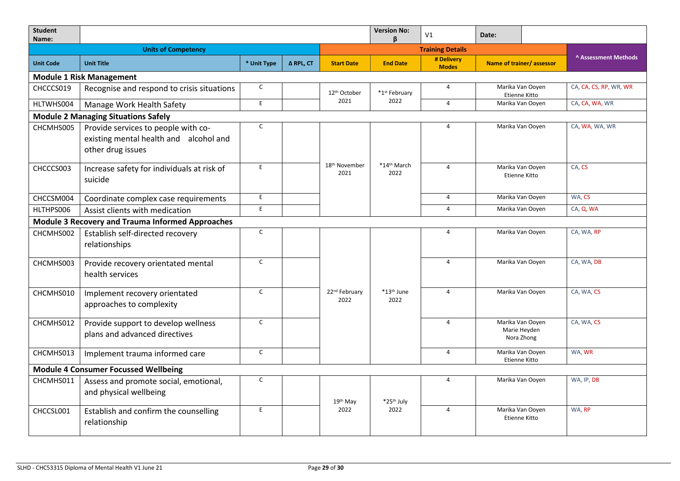| <b>Student</b><br>Name:                     |                                                                                                    |              |           |                                   |                                                    | V <sub>1</sub>                                      | Date:                             |                                                |                      |
|---------------------------------------------|----------------------------------------------------------------------------------------------------|--------------|-----------|-----------------------------------|----------------------------------------------------|-----------------------------------------------------|-----------------------------------|------------------------------------------------|----------------------|
|                                             | <b>Units of Competency</b>                                                                         |              |           |                                   | ß.<br><b>Training Details</b>                      |                                                     |                                   |                                                |                      |
| <b>Unit Code</b>                            | <b>Unit Title</b>                                                                                  | * Unit Type  | Δ RPL, CT | <b>Start Date</b>                 | <b>End Date</b>                                    | # Delivery<br><b>Modes</b>                          | Name of trainer/assessor          |                                                | A Assessment Methods |
| <b>Module 1 Risk Management</b>             |                                                                                                    |              |           |                                   |                                                    |                                                     |                                   |                                                |                      |
| CHCCCS019                                   | Recognise and respond to crisis situations                                                         | $\mathsf{C}$ |           | 12 <sup>th</sup> October          | *1st February                                      | Marika Van Ooyen<br>$\overline{4}$<br>Etienne Kitto |                                   | CA, CA, CS, RP, WR, WR                         |                      |
| HLTWHS004                                   | Manage Work Health Safety                                                                          | E            |           |                                   | 2022<br>2021<br>Marika Van Ooyen<br>$\overline{4}$ |                                                     |                                   | CA, CA, WA, WR                                 |                      |
|                                             | <b>Module 2 Managing Situations Safely</b>                                                         |              |           |                                   |                                                    |                                                     |                                   |                                                |                      |
| CHCMHS005                                   | Provide services to people with co-<br>existing mental health and alcohol and<br>other drug issues | $\mathsf C$  |           |                                   |                                                    | $\overline{4}$                                      |                                   | Marika Van Ooyen                               | CA, WA, WA, WR       |
| CHCCCS003                                   | Increase safety for individuals at risk of<br>suicide                                              | E.           |           | 18 <sup>th</sup> November<br>2021 | *14th March<br>2022                                | $\overline{4}$                                      |                                   | Marika Van Ooyen<br>Etienne Kitto              | CA, CS               |
| CHCCSM004                                   | Coordinate complex case requirements                                                               | E            |           |                                   |                                                    | $\overline{4}$                                      | Marika Van Ooyen                  |                                                | WA, CS               |
| HLTHPS006                                   | Assist clients with medication                                                                     | E.           |           |                                   |                                                    | $\overline{4}$                                      | Marika Van Ooyen                  |                                                | CA, Q, WA            |
|                                             | <b>Module 3 Recovery and Trauma Informed Approaches</b>                                            |              |           |                                   |                                                    |                                                     |                                   |                                                |                      |
| CHCMHS002                                   | Establish self-directed recovery<br>relationships                                                  | $\mathsf{C}$ |           |                                   |                                                    | $\overline{4}$                                      |                                   | Marika Van Ooyen                               | CA, WA, RP           |
| CHCMHS003                                   | Provide recovery orientated mental<br>health services                                              | $\mathsf{C}$ |           |                                   |                                                    | $\overline{4}$                                      |                                   | Marika Van Ooyen                               | CA, WA, DB           |
| CHCMHS010                                   | Implement recovery orientated<br>approaches to complexity                                          | $\mathsf{C}$ |           | 22 <sup>nd</sup> February<br>2022 | *13 <sup>th</sup> June<br>2022                     | $\overline{4}$                                      |                                   | Marika Van Ooyen                               | CA, WA, CS           |
| CHCMHS012                                   | Provide support to develop wellness<br>plans and advanced directives                               | $\mathsf C$  |           |                                   |                                                    | $\overline{4}$                                      |                                   | Marika Van Ooyen<br>Marie Heyden<br>Nora Zhong | CA, WA, CS           |
| CHCMHS013                                   | Implement trauma informed care                                                                     | $\mathsf{C}$ |           |                                   |                                                    | $\overline{4}$                                      | Marika Van Ooyen<br>Etienne Kitto |                                                | WA, WR               |
| <b>Module 4 Consumer Focussed Wellbeing</b> |                                                                                                    |              |           |                                   |                                                    |                                                     |                                   |                                                |                      |
| CHCMHS011                                   | Assess and promote social, emotional,<br>and physical wellbeing                                    | $\mathsf C$  |           | 19th May                          | *25 <sup>th</sup> July                             | $\overline{4}$                                      |                                   | Marika Van Ooyen                               | WA, IP, DB           |
| CHCCSL001                                   | Establish and confirm the counselling<br>relationship                                              | E            |           | 2022                              | 2022                                               | 4                                                   |                                   | Marika Van Ooyen<br>Etienne Kitto              | WA, RP               |